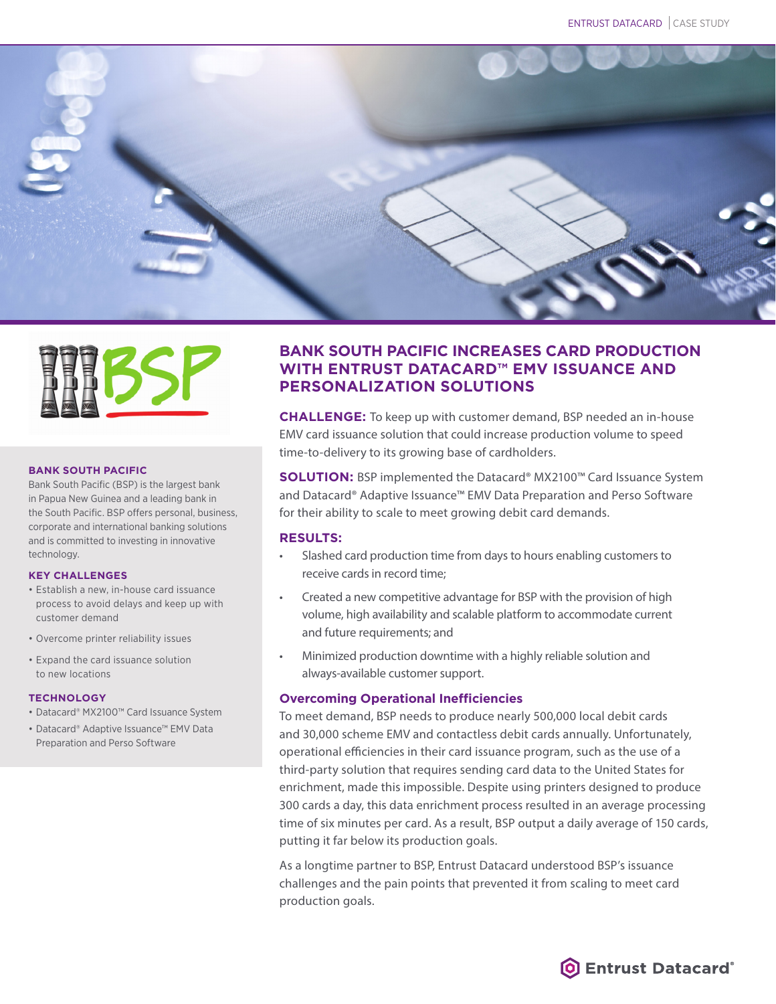



#### **BANK SOUTH PACIFIC**

Bank South Pacific (BSP) is the largest bank in Papua New Guinea and a leading bank in the South Pacific. BSP offers personal, business, corporate and international banking solutions and is committed to investing in innovative technology.

#### **KEY CHALLENGES**

- Establish a new, in-house card issuance process to avoid delays and keep up with customer demand
- Overcome printer reliability issues
- Expand the card issuance solution to new locations

#### **TECHNOLOGY**

- Datacard® MX2100™ Card Issuance System
- Datacard® Adaptive Issuance™ EMV Data Preparation and Perso Software

# **BANK SOUTH PACIFIC INCREASES CARD PRODUCTION WITH ENTRUST DATACARD™ EMV ISSUANCE AND PERSONALIZATION SOLUTIONS**

**CHALLENGE:** To keep up with customer demand, BSP needed an in-house EMV card issuance solution that could increase production volume to speed time-to-delivery to its growing base of cardholders.

**SOLUTION:** BSP implemented the Datacard® MX2100™ Card Issuance System and Datacard® Adaptive Issuance™ EMV Data Preparation and Perso Software for their ability to scale to meet growing debit card demands.

# **RESULTS:**

- Slashed card production time from days to hours enabling customers to receive cards in record time;
- Created a new competitive advantage for BSP with the provision of high volume, high availability and scalable platform to accommodate current and future requirements; and
- Minimized production downtime with a highly reliable solution and always-available customer support.

# **Overcoming Operational Inefficiencies**

To meet demand, BSP needs to produce nearly 500,000 local debit cards and 30,000 scheme EMV and contactless debit cards annually. Unfortunately, operational efficiencies in their card issuance program, such as the use of a third-party solution that requires sending card data to the United States for enrichment, made this impossible. Despite using printers designed to produce 300 cards a day, this data enrichment process resulted in an average processing time of six minutes per card. As a result, BSP output a daily average of 150 cards, putting it far below its production goals.

As a longtime partner to BSP, Entrust Datacard understood BSP's issuance challenges and the pain points that prevented it from scaling to meet card production goals.